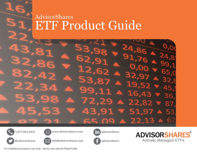## **AdvisorShares** ETF Product Guide







www.advisorshares.com





**ADVISORSHARES Actively Managed ETFs** 



info@advisorshares.com advisorshares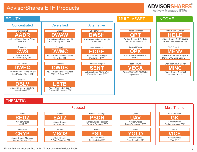#### **ADVISORSHARES® Actively Managed ETFs**

EQUITY Domestic**DWMC**AdvisorShares Dorsey Wright Micro-Cap ETF Domestic**DWEQ** AdvisorShares Dorsey Wright Equal Weight Alpha ETF Short Domestic**DWSH**AdvisorShares Dorsey Wright Short ETFShort Domestic**HDGE**AdvisorShares Ranger Equity Bear ETF Global**DWAW**AdvisorShares Dorsey Wright FSM All Cap World ETF **DWUS**AdvisorShares Dorsey Wright FSM U.S. Core ETFDomestic**CWS**AdvisorSharesFocused Equity ETF DomesticDomestic**DBLV**AdvisorShares DoubleLineValue Equity ETF International**AADR**AdvisorShares Dorsey Wright ADR ETFTotal Return**VEGA**AdvisorShares STAR GlobalBuy-Write ETF ConcentratedDiversified | Alternative **QPX** AdvisorShares Q Dynamic Growth ETFTactical Equity **QPT** AdvisorShares Q Portfolio Blended Allocation ETFTactical Balanced**SENT**Domestic Hedged AdvisorShares Alpha DNA Equity Sentiment ETF **MENV**AdvisorShares North Square McKee ESG Core Bond ETFESG Core Bond**MINC**AdvisorShares NewfleetMulti-Sector ETFShort Term Multi-Sector**HOLD**AdvisorShares North Square McKee Core Reserves ETFUltra-Short Duration**LETB**DomesticAdvisorShares Let Bob AI Powered Momentum ETFMULTI-ASSET**INCOME** 

#### THEMATIC

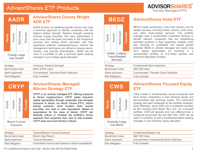



**AdvisorShares Dorsey Wright ADR ETF**

AADR focuses on traditional growth sectors and uses <sup>a</sup> technical approach to identify companies with the highest relative strength. Relative strength investing involves buying securities that have appreciated in price more than the other securities in the investment universe and holding those securities until they experience sufficient underperformance. Various risk management techniques are utilized to ensure sector, industry, and security diversification. AADR can be used in <sup>a</sup> portfolio to add <sup>a</sup> technical alpha seeking manager in your foreign equity allocation.

| Strategy               | Technical, Relative Strength            |
|------------------------|-----------------------------------------|
| Benchmark Index        | <b>MSCI EAFE Index</b>                  |
| Alpha Approach         | Concentrated, Technical Stock Selection |
| <b>Risk Mitigation</b> | <b>Fully Invested</b>                   |

### **CRYP**



#### **AdvisorShares Managed Bitcoin Strategy ETF**

CRYP is an actively managed ETF offering exposure to bitcoin cryptocurrency. CRYP seeks long-term capital appreciation through systematic risk-managed exposure to bitcoin via bitcoin futures ETFs, bitcoin futures contracts, short duration fixed income securities, and cash or cash equivalents. Based on expectations for the value of bitcoin, CRYP can tactically reduce or increase the portfolio's bitcoin exposure from anywhere from zero to fully invested. CRYP does not invest directly in bitcoin.

Exposure

| Strategy               | <b>Tactical Bitcoin Futures Exposure</b>               |
|------------------------|--------------------------------------------------------|
| Benchmark Index        | <b>Bitcoin Spot Return</b>                             |
| Alpha Approach         | <b>Tactical Allocation</b>                             |
|                        |                                                        |
| <b>Risk Mitigation</b> | Incremental move to cash based on bitcoin expectations |

*For Institutional Investors Use Only - Not for Use with the Retail Public* 3

| Equity | Income | Multi-Asset | <b>Thematic</b> |
|--------|--------|-------------|-----------------|

Hotels, Lodging, Travel-Related Services

#### **AdvisorShares Hotel ETF**

BEDZ invests exclusively in the hotel industry and its related services, including hotels, resorts, cruise lines, and other travel-related services. The portfolio manager uses <sup>a</sup> fundamental investment process to identify relevant companies that are establishing dominant positions in their respective markets, while also focusing on profitability and upside growth potential. BEDZ is actively managed and seeks long term capital appreciation by investing in <sup>a</sup> concentrated portfolio of U.S.-listed equities and American depositary receipts.

| <b>Fundamental Stock Selection</b>     |
|----------------------------------------|
| <b>S&amp;P 500 Index</b>               |
| Concentrated, Thematic Stock Selection |
| <b>Fully Invested</b>                  |
|                                        |

**CWS**



## **AdvisorShares Focused Equity ETF**

CWS invests in fundamentally sound companies that have shown consistency in their financial results and demonstrated high earnings quality. The investment strategy has been employed by the portfolio strategist, Eddy Elfenbein, since 2006 and is published annually as the Crossing Wall Street "Buy List." As <sup>a</sup> focused portfolio, CWS will typically look very different than <sup>a</sup> traditional benchmark like the S&P 500. CWS can beused in <sup>a</sup> portfolio to add <sup>a</sup> fundamental alpha seeking manager in your domestic equity allocation.

Cap Blend

| Strategy               | Fundamental Bottom-Up                     |
|------------------------|-------------------------------------------|
| Benchmark Index        | <b>S&amp;P 500 Index</b>                  |
| Alpha Approach         | Concentrated, Fundamental Stock Selection |
| <b>Risk Mitigation</b> | <b>Fully Invested</b>                     |
|                        |                                           |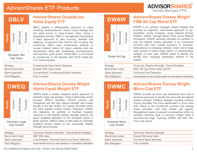



Income

Domestic Mid Cap Value

**Equity**

Multi-Asset

Multi-Asset

Thematic

Thematic

#### **AdvisorShares DoubleLine Value Equity ETF**

DBLV applies <sup>a</sup> differentiated approach to value investing, looking beyond "classic" value strategy and low stock prices or price-to-book ratios. Using <sup>a</sup> repeatable process, DBLV's management emphasizes <sup>a</sup> team approach to idea sourcing, detailed due diligence, <sup>a</sup> long-term time horizon and on-going risk monitoring. DBLV uses fundamental analysis to screen multiple factors for return potential and risk assessment, while also considering macroeconomic and business cycle factors. While DBLV is not limited by market-cap, it will typically hold 30-50 larger-cap U.S. traded equities.

| Strategy               | <b>Fundamental Value Stock Selection</b>  |
|------------------------|-------------------------------------------|
| Benchmark Index        | Russell 1000 Value Index                  |
| Alpha Approach         | Concentrated, Fundamental Stock Selection |
| <b>Risk Mitigation</b> | <b>Fully Invested</b>                     |

## **DWEQ**

|  | Equity | Income | Multi-Asset | Thematic |
|--|--------|--------|-------------|----------|
|--|--------|--------|-------------|----------|

Domestic Large Cap Growth

**AdvisorShares Dorsey Wright Alpha Equal Weight ETF**

DWEQ takes <sup>a</sup> modern targeted sector approach to domestic large cap equities. Using <sup>a</sup> technically driven process, DWEQ identifies industry sectors and companies with the high relative strength and invests equally in the top ranked U.S. equity securities within the three highest ranked sectors. Regularly, DWEQ will rebalance its portfolio to maintain targeted exposure to the highest relative strength sectors and equal weighted allocation to the strongest stocks in those sectors. DWEQ seeks to add alpha by tactically targeting sectors based on the successful relative strength trend process.

| Strategy               | Technical, Relative Strength, Tactical Sector Rotation |
|------------------------|--------------------------------------------------------|
| Benchmark Index        | <b>S&amp;P 500 Index</b>                               |
| Alpha Approach         | Concentrated, Technical Sector and Stock Selection     |
| <b>Risk Mitigation</b> | Incremental move to cash based on momentum indicators  |

*For Institutional Investors Use Only - Not for Use with the Retail Public* 4

## **DWAW**

| Equity                 | ncome                                           | <b>Vluiti-Asset</b> | Thematic |  |
|------------------------|-------------------------------------------------|---------------------|----------|--|
| <b>Global All-Cap</b>  |                                                 |                     |          |  |
| Strategy               |                                                 |                     |          |  |
| <b>Benchmark Index</b> |                                                 |                     |          |  |
| Alpha Approach         |                                                 |                     |          |  |
|                        | $\Box$ : $\Box$ : $\Box$ $\Box$ $\Box$ : $\Box$ |                     |          |  |

#### **AdvisorShares Dorsey Wright FSM All Cap World ETF**

DWAW is an actively managed, global strategy that provides an objective, rules-based approach to "goanywhere" equity investing. Using Nasdaq Dorsey Wright's relative strength-based Fund Score Method framework, DWAW tactically allocates its portfolio to only the highest ranked securities in its investment universe and may include exposure to domestic, international, or emerging markets; small, mid or large caps; growth or value styles; factor- or market-based weights; or even cash. DWAW seeks to identify and benefit from changing leadership themes in the market.

| Strategy               | Technical, Relative Strength, Tactical Rotation       |
|------------------------|-------------------------------------------------------|
| Benchmark Index        | MSCI All Cap World Index (ACWI)                       |
| Alpha Approach         | <b>Technical Fund Selection</b>                       |
| <b>Risk Mitigation</b> | Incremental move to cash based on momentum indicators |
|                        |                                                       |

## **DWMC**

| Equity                       | ncome | Multi-Asset | Thematic |
|------------------------------|-------|-------------|----------|
| Domestic Micro<br>ماله، مصدم |       |             |          |

#### **AdvisorShares Dorsey Wright Micro-Cap ETF**

DWMC focuses on micro cap companies and uses <sup>a</sup> technical approach to identify the ones with the highest relative strength. Relative strength investing involves buying securities that have appreciated in price more than others in the investment universe and holding those securities until they exhibit sell signals. Management seeks to spread out allocations within its portfolio, trimming back <sup>a</sup> security's weight when it becomes too large. Typically, DWMC will hold 150+ micro cap stocks.

| Domestic Micro |  |  |
|----------------|--|--|
| Cap Growth     |  |  |

| Strategy               | Technical, Relative Strength     |
|------------------------|----------------------------------|
| Benchmark Index        | Russell Microcap Index           |
| Alpha Approach         | <b>Technical Stock Selection</b> |
| <b>Risk Mitigation</b> | <b>Fully Invested</b>            |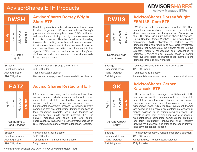



**AdvisorShares Dorsey Wright Short ETF**

DWSH implements <sup>a</sup> technical stock selection process to short large cap U.S. equities utilizing Dorsey's proprietary relative strength process. DWSH will short sell securities exhibiting the high relative weakness from its universe. Relative weakness investing involves short selling securities that have depreciated in price more than others in their investment universe and holding those securities until they exhibit buy signals. DWSH can be used as part of <sup>a</sup> long/short strategy to hedge an investor's long domestically traded equity exposure.

| Strategy               | Technical, Relative Strength, Short Selling                        |
|------------------------|--------------------------------------------------------------------|
| Benchmark Index        | <b>S&amp;P 500 Index</b>                                           |
| Alpha Approach         | <b>Technical Stock Selection</b>                                   |
| <b>Risk Mitigation</b> | After bear market trigger, moves from concentrated to broad market |

**EATZ**



Restaurants &Food Services **AdvisorShares Restaurant ETF**

EATZ invests exclusively in the restaurant and food service industry which includes restaurants, bars, pubs, fast food, take out facilities, food catering services and more. The portfolio manager uses <sup>a</sup> fundamental investment process to identify relevant companies that are establishing dominant positions in their respective markets, while also focusing on profitability and upside growth potential. EATZ is actively managed and seeks long term capital appreciation by investing in <sup>a</sup> concentrated portfolio of U.S.-listed equities and American depositary receipts.

| Strategy               | <b>Fundamental Stock Selection</b>     |
|------------------------|----------------------------------------|
| Benchmark Index        | <b>S&amp;P 500 Index</b>               |
| Alpha Approach         | Concentrated, Thematic Stock Selection |
| <b>Risk Mitigation</b> | <b>Fully Invested</b>                  |

*For Institutional Investors Use Only - Not for Use with the Retail Public* 5

## **DWUS**

| Equity                                                      | ncome | <b>Multi-Asset</b> | Thematic |  |
|-------------------------------------------------------------|-------|--------------------|----------|--|
| Domestic Large<br>Cap Growth                                |       |                    |          |  |
| $\mathbf{1} \cdot \mathbf{1} = \mathbf{1} \cdot \mathbf{1}$ |       |                    |          |  |

#### **AdvisorShares Dorsey Wright FSM U.S. Core ETF**

DWUS is an actively managed, targeted U.S. Core market strategy applying <sup>a</sup> technical, systematicallydriven process to answer the question – "What part of the U.S. Large Cap equity market should be owned?" Using Nasdaq Dorsey Wright's Fund Score Method framework, DWUS allocates its portfolio to the domestic large cap funds in its U.S. Core investment universe that demonstrate the highest-ranked relative strength, regularly reassessing and reallocating its holdings. DWUS's tactical strategy seeks to benefit from evolving factor- or market-based themes in the domestic large cap equity market.

| Strategy               | Technical, Relative Strength, Tactical Rotation       |
|------------------------|-------------------------------------------------------|
| Benchmark Index        | S&P 500 Index                                         |
| Alpha Approach         | <b>Technical Fund Selection</b>                       |
| <b>Risk Mitigation</b> | Incremental move to cash based on momentum indicators |
|                        |                                                       |

#### **GK**Multi-Asset Multi-Asset **Thematic Thematic** Income Equity All-Cap Growth Equity

#### **AdvisorShares Gerber Kawasaki ETF**

GK is an actively managed, multi-thematic ETF, focusing on growth companies with the potential to benefit from transformative changes in our society. Ranging from emerging technologies to more widespread ideas, GK's multiple investment themes are based on high conviction, sustainable longer-term trends believed to be transforming the world. GK invests in large, mid, or small cap stocks of newer or well-established companies demonstrating profits or near-term profitability, innovating their industry, growing market share, and offering the opportunity for long-term capital appreciation.

| Strategy               | Thematic Identification, Fundamental Stock Selection |
|------------------------|------------------------------------------------------|
| Benchmark Index        | S&P 500 Index                                        |
| Alpha Approach         | Concentrated. Thematic Stock Selection               |
| <b>Risk Mitigation</b> | <b>Fully Invested</b>                                |
|                        |                                                      |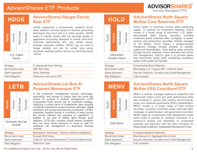



**AdvisorShares Ranger Equity Bear ETF**

HDGE implements <sup>a</sup> fundamental, research driven stock selection process based on forensic accounting techniques that short sell U.S. listed equities. HDGE seeks to identify stocks with low earnings quality or aggressive accounting designed to bolster short-term corporate performance and may exhibit aboveaverage downside volatility. HDGE may be used to hedge volatility and risk for similar long equity exposure, seeking positive returns in <sup>a</sup> declining equity market.

| Strategy               | <b>Fundamental Short Selling</b> |
|------------------------|----------------------------------|
| Benchmark Index        | <b>S&amp;P 500 Index</b>         |
| Alpha Approach         | <b>Stock Selection</b>           |
| <b>Risk Mitigation</b> | Defensive cash up to 20%         |

### **LETB**



#### **AdvisorShares Let Bob AI Powered Momentum ETF**

In the investment management industry, technology, automation, and access to unique data are some key drivers for success in portfolio management. LETB incorporates these drivers into its investment strategy, analyzing a unique blend of fundamental data including companies expected to exceed earnings estimates, digital sentiment, and strong technical price momentum. LETB's proprietary analysis results in <sup>a</sup> portfolio of select stocks the advisor believes are expected to outperform. In addition to the goal of adding alpha though stock selection. LETB also monitors overall market conditions and can lower equity exposure or move to cash for additional risk management in downward trending markets.Momentum, Sentiment, Tactical, Artificial Intelligence

| Benchmark Index        | Russell 3000 Index                                               |
|------------------------|------------------------------------------------------------------|
| Alpha Approach         | <b>Public &amp; Technical Sentiment &amp; Technical Momentum</b> |
| <b>Risk Mitigation</b> | Defensive Cash                                                   |

*For Institutional Investors Use Only - Not for Use with the Retail Public*

## **HOLD**



#### **AdvisorShares North Square McKee Core Reserves ETF**

HOLD seeks to maximize income while preserving capital. To achieve its investment objective, HOLD invests in <sup>a</sup> broad range of short-term, U.S. dollardenominated fixed income securities, including investment grade corporate debt, mortgage- or assetbacked, and government securities. Actively managed by CS McKee, HOLD follows <sup>a</sup> straight-forward investment strategy focused primarily on liquidity, quality and diversification, while adding value primarily through security selection, sector allocation and active risk management. HOLD's goal is to provide higher than benchmark yields while maintaining investment grade credit quality and liquidity.

| Strategy        | <b>Fundamental Bond Selection</b>                  |
|-----------------|----------------------------------------------------|
| Benchmark Index | Bloomberg U.S. Treasury Bill 1-3 Month Index       |
| Alpha Approach  | Security Selection, Duration and Credit Management |
| Risk Mitigation | <b>Fully Invested</b>                              |
|                 |                                                    |

## **MENV**



#### **AdvisorShares North Square McKee ESG Core Bond ETF**

MENV is actively managed seeking to outperform the benchmark index's price and yield performance while also investing in issuers with positive environmental, social, and corporate governance (ESG) characteristics. MENV invests in <sup>a</sup> broad range of fixed income securities, including investment grade corporate debt, mortgage- or asset-backed, and government securities. MENV relies on <sup>a</sup> proprietary ESG assessment model which looks to provide an unbiased evaluation of <sup>a</sup> company's actions and dedication to sustainable practices and alignment with the UN's Principles for Responsible Investment Sustainable Development Goals.

| Strategy               | <b>Fundamental Bond Selection</b>                  |
|------------------------|----------------------------------------------------|
| Benchmark Index        | Bloomberg U.S. Aggregate Bond Index                |
| Alpha Approach         | Security Selection, Duration and Credit Management |
| <b>Risk Mitigation</b> | <b>Fully Invested</b>                              |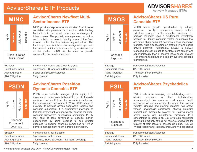



Short DurationMulti-Sector

#### **AdvisorShares Newfleet Multi-Sector Income ETF**

MINC provides exposure to low duration fixed income consistent with preservation of capital, while limiting fluctuations in net asset value due to changes in interest rates. The portfolio manager uses an active sector rotation process to identify areas of the fixed income market that they believe may outperform. The fund employs <sup>a</sup> disciplined risk management approach that seeks to minimize exposure to higher risk sectors of the market. MINC can be used to provide conservative income to <sup>a</sup> portfolio.

| Strategy               | <b>Fundamental Sector and Credit Analysis</b> |
|------------------------|-----------------------------------------------|
| Benchmark Index        | Bloomberg U.S. Aggregate Bond Index           |
| Alpha Approach         | Sector and Security Selection                 |
| <b>Risk Mitigation</b> | <b>Fully Invested</b>                         |

### **PSDN**



#### **AdvisorShares Poseidon Dynamic Cannabis ETF**

PSDN is an actively managed global equity ETF investing in companies believed to be strategically positioned to benefit from the cannabis industry and the infrastructure supporting it. While PSDN seeks to diversify its portfolio across geographic regions and cannabis subsectors, it is dynamically managed to tactically overweight (or underweight) specific countries, cannabis subsectors, or individual companies. PSDN may seek to take advantage of specific market opportunities by using leverage to add greater exposure to specific cannabis companies for which portfolio management has the greatest conviction.

| Strategy               | <b>Fundamental Stock Selection</b>                |
|------------------------|---------------------------------------------------|
| Benchmark Index        | A passive cannabis index                          |
| Alpha Approach         | Thematic, Stock Selection, "Intelligent" Leverage |
| <b>Risk Mitigation</b> | <b>Fully Invested</b>                             |

*For Institutional Investors Use Only - Not for Use with the Retail Public* 7

## **MSOS**

| Equity | ncome                | <b>Multi-Asset</b> | nemat |
|--------|----------------------|--------------------|-------|
|        | Cannabis<br>Exposure |                    |       |
|        |                      |                    |       |

#### **AdvisorShares US Pure Cannabis ETF**

MSOS seeks growth opportunities by offering exposure to U.S. companies across multiple industries engaged in the cannabis business. The portfolio manager uses <sup>a</sup> fundamental investment process to identify cannabis-related companies that are establishing dominant positions in their respective markets, while also focusing on profitability and upside growth potential. Additionally, MSOS is actively managed and can adjust its portfolio more quickly and opportunistically than <sup>a</sup> passive index-based strategy – an important attribute in <sup>a</sup> rapidly evolving cannabis marketplace.

| Strategy               | <b>Fundamental Stock Selection</b> |
|------------------------|------------------------------------|
| Benchmark Index        | S&P 500 Index                      |
| Alpha Approach         | <b>Thematic, Stock Selection</b>   |
| <b>Risk Mitigation</b> | <b>Fully Invested</b>              |
|                        |                                    |

# **PSIL**

Income

Psychedelic Exposure

Equity



**AdvisorShares Psychedelics ETF**

PSIL invests in the emerging psychedelic drugs sector, offering exposure to those biotechnology, pharmaceutical, life sciences, and mental health companies we see as leading the way in this nascent industry. Ongoing and growing research has shown various psychedelic substances offering promising medical and therapeutic potential for treating mental health issues and neurological disorders. PSIL concentrates its portfolio on U.S. or foreign companies deriving the majority of their net revenue or devoting the majority of their assets to psychedelic drugs. PSIL will invest predominantly in micro, small, and mid cap stocks.

| <b>Fundamental Stock Selection</b> |
|------------------------------------|
| <b>S&amp;P 500 Index</b>           |
| Thematic, Stock Selection          |
| <b>Fully Invested</b>              |
|                                    |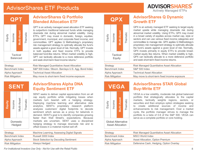



Balanced

#### **AdvisorShares Q Portfolio Blended Allocation ETF**

QPT is an actively managed asset allocation ETF seeking to outperform traditional balanced funds while managing downside risk during abnormal market volatility. Using ETFs, QPT may invest in domestic, foreign, equities; government, municipal, and corporate fixed income; and commodities. QPT applies Q Methodology's proprietary risk management strategy to optimally allocate the fund's assets against <sup>a</sup> given level of risk. Normally, QPT invests in both equities and fixed income ETFs to provide balanced fund-like returns. When market volatility is high, QPT can tactically allocate to <sup>a</sup> more defensive portfolio and seek short-term fixed income returns.<sup>1</sup>

| Strategy               | <b>Risk Managed Quantitative Asset Allocation</b>    |
|------------------------|------------------------------------------------------|
| Benchmark Index        | S&P 500 Index / Bloom. Barclays U.S. Agg. Bond Index |
| Alpha Approach         | <b>Technical Asset Allocation</b>                    |
| <b>Risk Mitigation</b> | May move to short-term fixed income exposure         |

## **SENT**



Domestic**Hedged** 

### **AdvisorShares Alpha DNA Equity Sentiment ETF**

SENT seeks to deliver capital appreciation from an all cap equity portfolio while mitigating losses when markets turn bearish with <sup>a</sup> hedging strategy. Deploying machine learning and alternative data analytics, SENT's proprietary research platform analyzes customers' digital footprints to decode sentiment which serves as <sup>a</sup> proxy for tailwinds in demand. SENT's goal is to identify companies growing faster than Wall Street's. expectations. Because markets are uncertain, SENT uses <sup>a</sup> disciplined hedging strategy to manage downside risk and to offset losses in a material market sell off.

| Strategy               | Machine Learning; Assessing Digital Signals  |
|------------------------|----------------------------------------------|
| Benchmark Index        | Russell 3000 Index                           |
| Alpha Approach         | <b>Stock Selection by Decoding Sentiment</b> |
| <b>Risk Mitigation</b> | Always Hedged                                |
|                        |                                              |

**QPX** Multi-Asset **Multi-Asset** Thematic Thematic Income Equity

> **Tactical** Equity

#### **AdvisorShares Q Dynamic Growth ETF**

QPX is an actively managed ETF seeking to target equity market upside while managing downside risk during abnormal market volatility. Using ETFs, QPX may invest in <sup>a</sup> broad variety of equities across market cap, style or sectors and can use various fixed income categories and commodities to manage risk. QPX applies Q Methodology's proprietary risk management strategy to optimally allocate the fund's assets against <sup>a</sup> given level of risk. Normally, QPX invests primarily in equity ETFs to provide broadmarket equity like returns. When market volatility is high, QPX can tactically allocate to <sup>a</sup> more defensive portfolio and seek short-term fixed income returns.

| Strategy               | <b>Risk Managed Quantitative Asset Allocation</b> |
|------------------------|---------------------------------------------------|
| Benchmark Index        | <b>S&amp;P 500 Index</b>                          |
| Alpha Approach         | <b>Technical Asset Allocation</b>                 |
| <b>Risk Mitigation</b> | May move to short-term fixed income exposure      |
|                        |                                                   |

## **VEGA**



### **AdvisorShares STAR Global Buy-Write ETF**

VEGA is <sup>a</sup> low volatility, moderate risk global balanced portfolio that strategically allocates to the capital markets, tactically weights regions, sectors, or securities and then employs option strategies seeking to create additional sources of income andenhancements to risk management. Over <sup>a</sup> market cycle, the portfolio manager strives to manage the portfolio to <sup>a</sup> beta of 0.6 of the S&P 500. VEGA can serve as <sup>a</sup> complete portfolio or core holding.

Global AlternativeAsset Allocation

| Strategy               | <b>Risk Managed Quantitative Asset Allocation</b> |
|------------------------|---------------------------------------------------|
| Benchmark Index        | <b>MSCI World Index</b>                           |
| Alpha Approach         | Asset Allocation, Option Premium                  |
| <b>Risk Mitigation</b> | Defensive Cash, Hedging, Option Overlay           |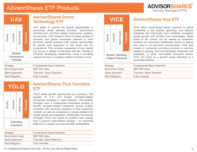



Drones, **Autonomous** Vehicles

#### **AdvisorShares Drone Technology ETF**

UAV seeks to capture the growth opportunities in unmanned aerial vehicles (drones), autonomous vehicles (AV), and their related components, systems, and services. UAV invests in the U.S.-listed equities of domestic and global companies believed to have dominant market positions with unique opportunities for growth and expansion in the drone and AV ecosystems. This includes companies of any market cap across <sup>a</sup> variety of industries that are, directly or indirectly, developing, researching, using, or providing support services or supplies related to drones or AVs.

| Strategy               | <b>Fundamental Stock Selection</b> |
|------------------------|------------------------------------|
| Benchmark Index        | <b>S&amp;P 500 Index</b>           |
| Alpha Approach         | <b>Thematic, Stock Selection</b>   |
| <b>Risk Mitigation</b> | <b>Fully Invested</b>              |

**YOLO**



**AdvisorShares Pure CannabisETF**

YOLO seeks growth opportunities by investing in the equities of U.S. and foreign cannabis-related companies engaging in legal business. The portfolio manager uses <sup>a</sup> fundamental investment process to identify cannabis-related companies across multiple industries with dominant positions in their respective markets, as well as companies in unique positions for upside growth and expansion. Additionally, the actively managed YOLO can adjust its portfolio more quickly than <sup>a</sup> passive index-based strategy – an important attribute in <sup>a</sup> rapidly evolving cannabis marketplace.

| Strategy               | <b>Fundamental Stock Selection</b> |
|------------------------|------------------------------------|
| Benchmark Index        | S&P 500 Index                      |
| Alpha Approach         | Thematic, Stock Selection          |
| <b>Risk Mitigation</b> | <b>Fully Invested</b>              |

### **VICE**

| Equity | ncome | Vlulti-Asset                                  | nemati |  |
|--------|-------|-----------------------------------------------|--------|--|
|        |       | Alcohol, Gambling,<br><b>Tobacco Exposure</b> |        |  |

#### **AdvisorShares Vice ETF**

VICE offers concentrated equity exposure to global companies in the alcohol, gambling, and tobacco industries that historically have exhibited consistent, steady growth with durable moat advantages. These areas of the market can be viewed as recessionresistant as consumers traditionally spend on leisure and vices in all economic environments. VICE alsoinvests in companies providing products or services related to gaming, food and beverage, restaurant and hospitality, or other vice-related consumer trends. VICE can serve as <sup>a</sup> growth equity allocation in <sup>a</sup> diversified portfolio.

| <b>S&amp;P 500 Index</b>  |
|---------------------------|
| Thematic, Stock Selection |
| <b>Fully Invested</b>     |
|                           |